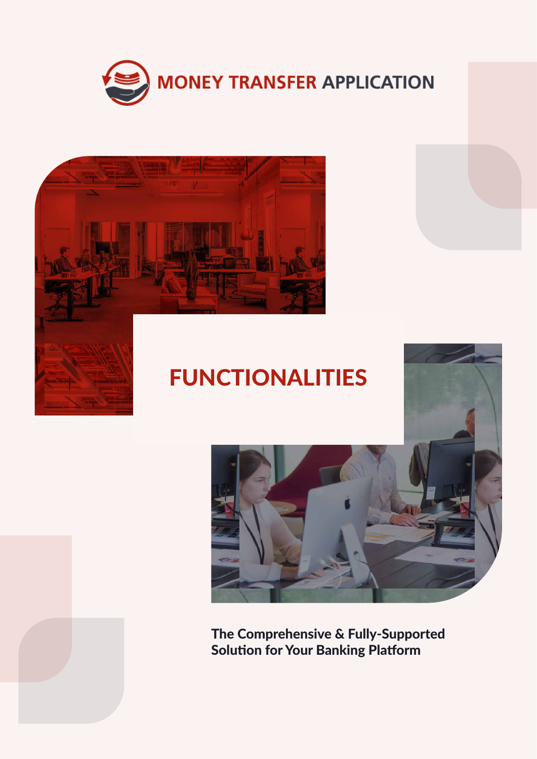



# FUNCTIONALITIES



The Comprehensive & Fully-Supported Solution for Your Banking Platform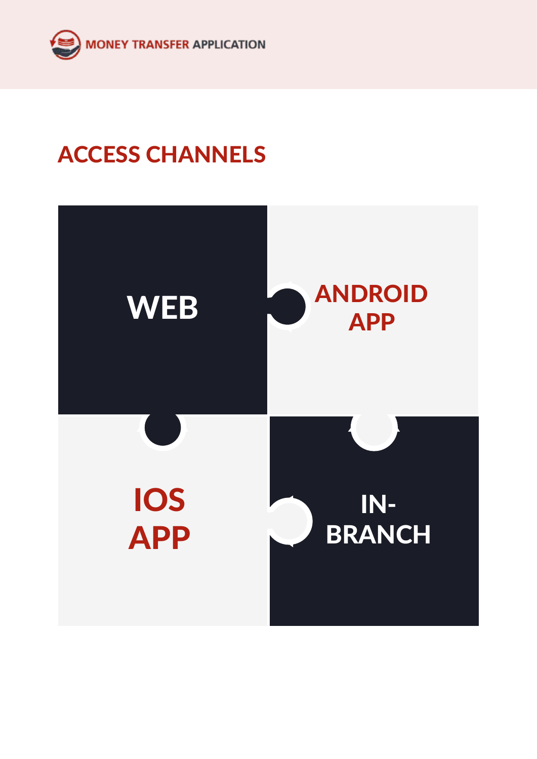

# ACCESS CHANNELS

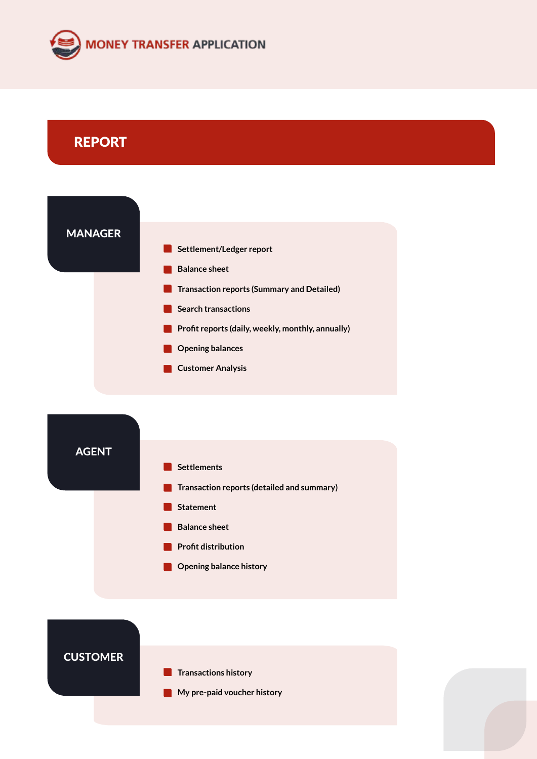

## REPORT





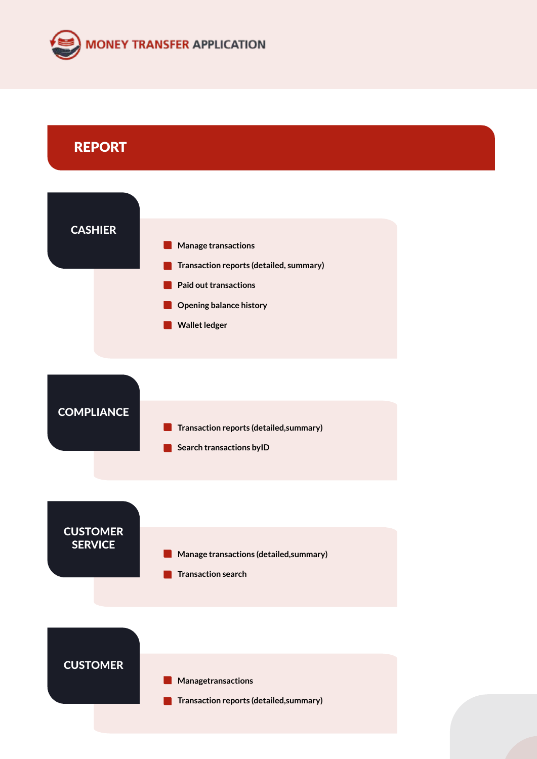

### REPORT

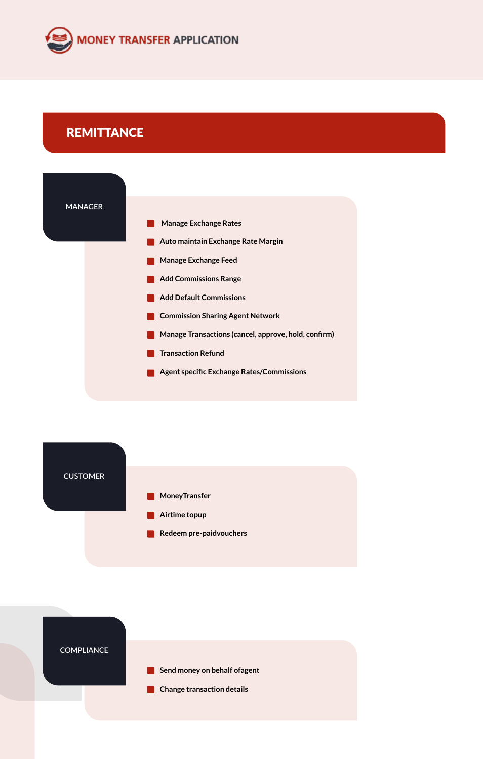

### **REMITTANCE**





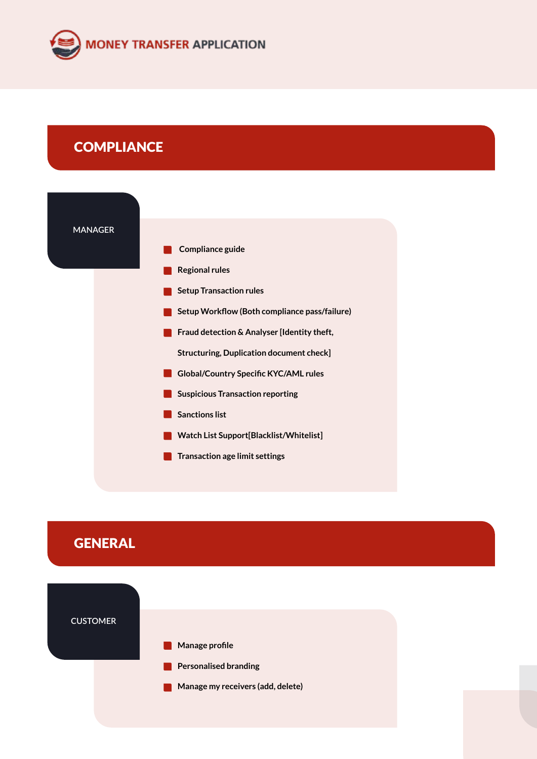

### **COMPLIANCE**



# **GENERAL**

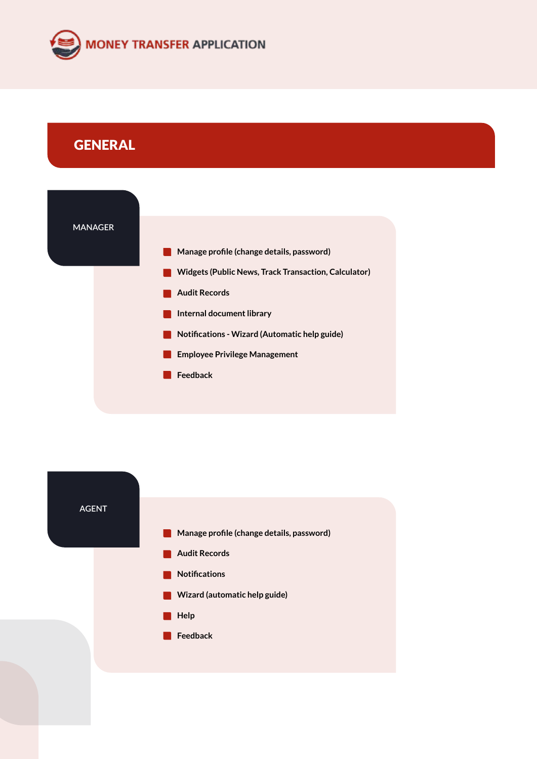

# **GENERAL**



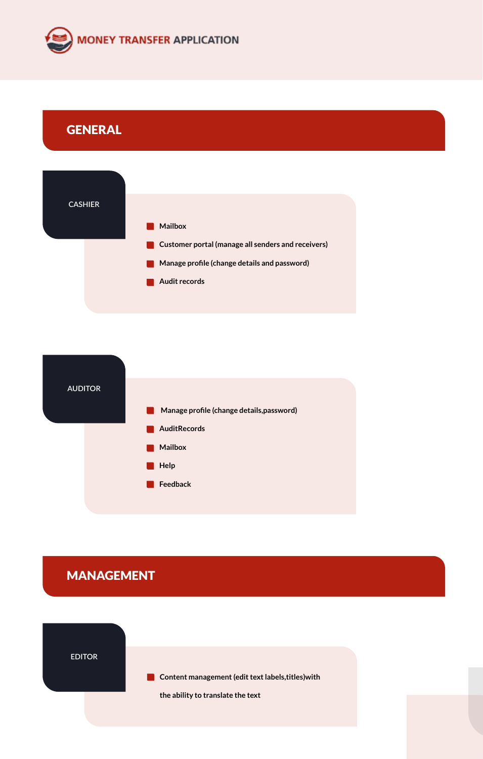

# **GENERAL**





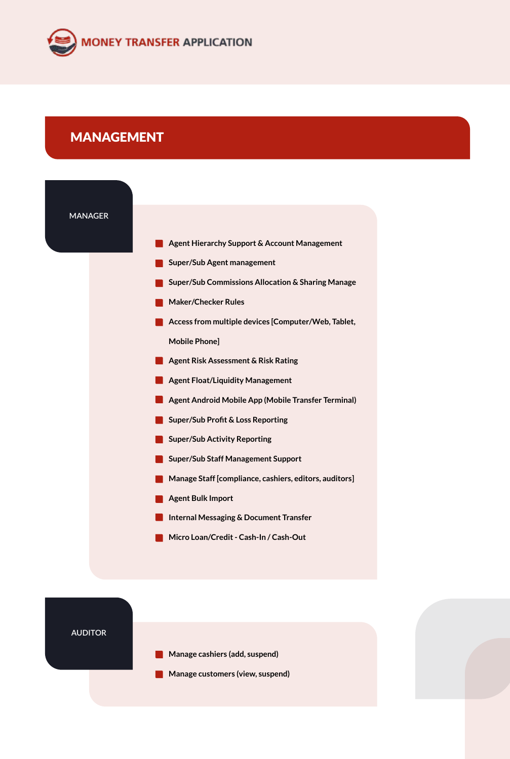

#### MANAGEMENT



**AUDITOR**

- **Manage cashiers (add, suspend)**   $\blacksquare$
- **Manage customers (view, suspend)** $\blacksquare$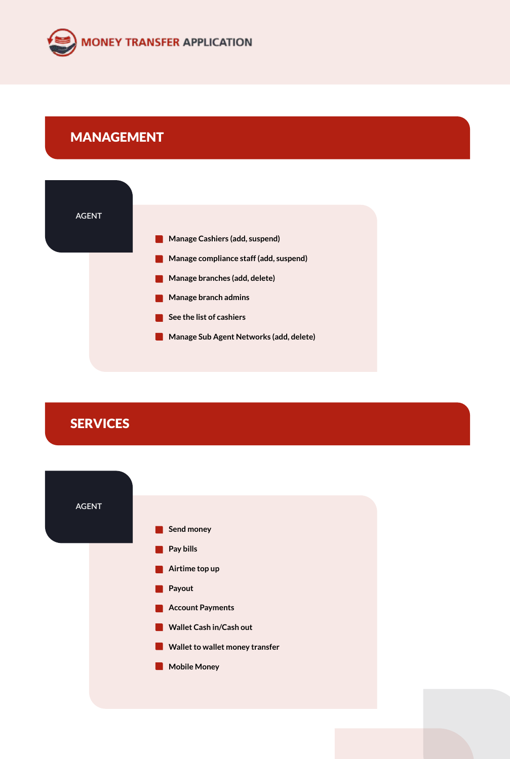

### MANAGEMENT



**SERVICES**